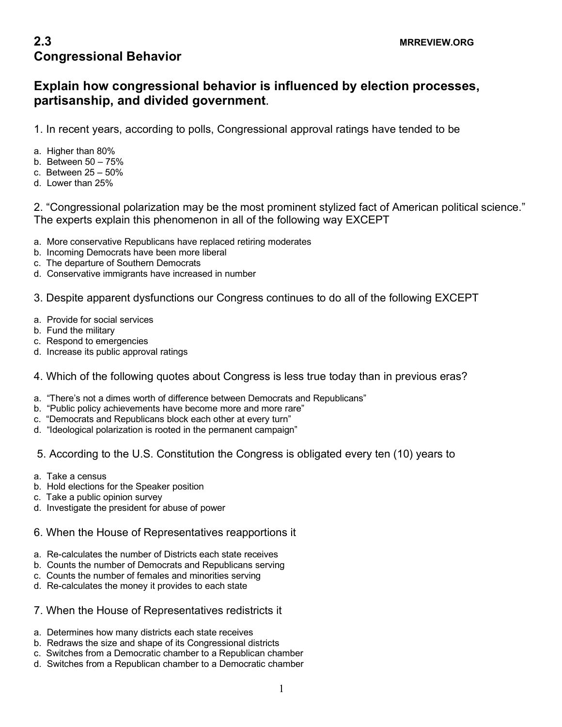# **2.3 MRREVIEW.ORG Congressional Behavior**

## **Explain how congressional behavior is influenced by election processes, partisanship, and divided government**.

1. In recent years, according to polls, Congressional approval ratings have tended to be

- a. Higher than 80%
- b. Between 50 75%
- c. Between 25 50%
- d. Lower than 25%

2. "Congressional polarization may be the most prominent stylized fact of American political science." The experts explain this phenomenon in all of the following way EXCEPT

- a. More conservative Republicans have replaced retiring moderates
- b. Incoming Democrats have been more liberal
- c. The departure of Southern Democrats
- d. Conservative immigrants have increased in number

3. Despite apparent dysfunctions our Congress continues to do all of the following EXCEPT

- a. Provide for social services
- b. Fund the military
- c. Respond to emergencies
- d. Increase its public approval ratings

### 4. Which of the following quotes about Congress is less true today than in previous eras?

- a. "There's not a dimes worth of difference between Democrats and Republicans"
- b. "Public policy achievements have become more and more rare"
- c. "Democrats and Republicans block each other at every turn"
- d. "Ideological polarization is rooted in the permanent campaign"

### 5. According to the U.S. Constitution the Congress is obligated every ten (10) years to

- a. Take a census
- b. Hold elections for the Speaker position
- c. Take a public opinion survey
- d. Investigate the president for abuse of power
- 6. When the House of Representatives reapportions it
- a. Re-calculates the number of Districts each state receives
- b. Counts the number of Democrats and Republicans serving
- c. Counts the number of females and minorities serving
- d. Re-calculates the money it provides to each state

#### 7. When the House of Representatives redistricts it

- a. Determines how many districts each state receives
- b. Redraws the size and shape of its Congressional districts
- c. Switches from a Democratic chamber to a Republican chamber
- d. Switches from a Republican chamber to a Democratic chamber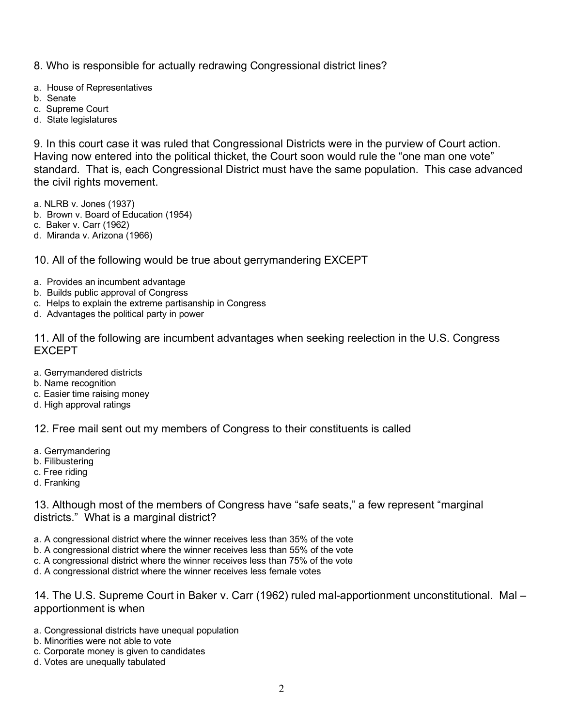- 8. Who is responsible for actually redrawing Congressional district lines?
- a. House of Representatives
- b. Senate
- c. Supreme Court
- d. State legislatures

9. In this court case it was ruled that Congressional Districts were in the purview of Court action. Having now entered into the political thicket, the Court soon would rule the "one man one vote" standard. That is, each Congressional District must have the same population. This case advanced the civil rights movement.

a. NLRB v. Jones (1937)

- b. Brown v. Board of Education (1954)
- c. Baker v. Carr (1962)
- d. Miranda v. Arizona (1966)

10. All of the following would be true about gerrymandering EXCEPT

- a. Provides an incumbent advantage
- b. Builds public approval of Congress
- c. Helps to explain the extreme partisanship in Congress
- d. Advantages the political party in power

11. All of the following are incumbent advantages when seeking reelection in the U.S. Congress EXCEPT

- a. Gerrymandered districts
- b. Name recognition
- c. Easier time raising money
- d. High approval ratings

12. Free mail sent out my members of Congress to their constituents is called

- a. Gerrymandering
- b. Filibustering
- c. Free riding
- d. Franking

13. Although most of the members of Congress have "safe seats," a few represent "marginal districts." What is a marginal district?

- a. A congressional district where the winner receives less than 35% of the vote
- b. A congressional district where the winner receives less than 55% of the vote
- c. A congressional district where the winner receives less than 75% of the vote
- d. A congressional district where the winner receives less female votes

14. The U.S. Supreme Court in Baker v. Carr (1962) ruled mal-apportionment unconstitutional. Mal – apportionment is when

- a. Congressional districts have unequal population
- b. Minorities were not able to vote
- c. Corporate money is given to candidates
- d. Votes are unequally tabulated